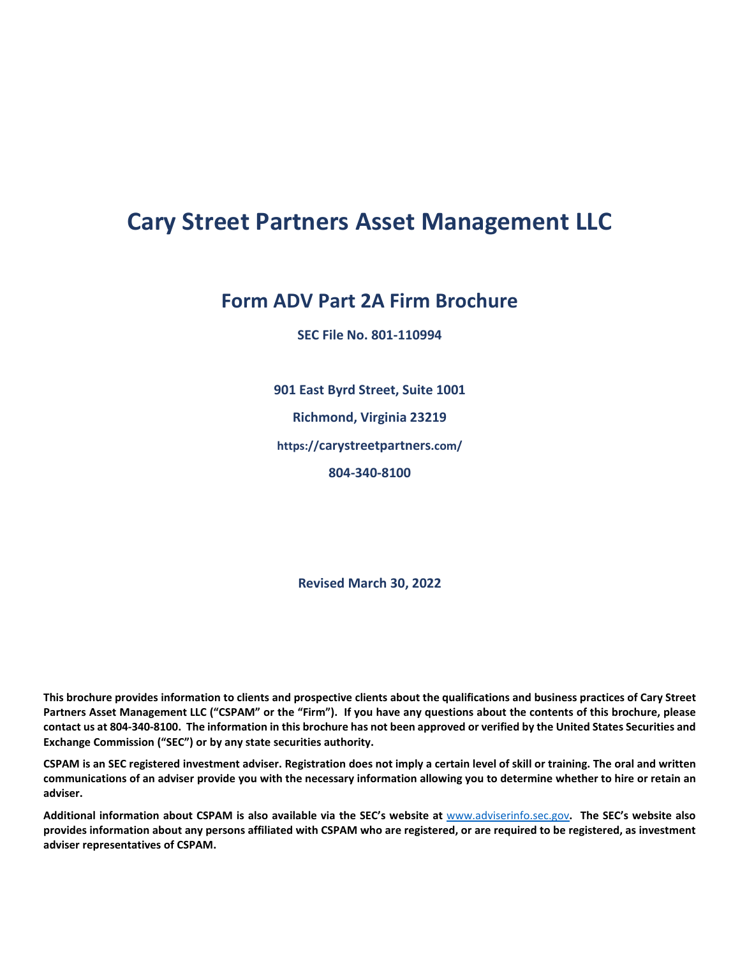# **Cary Street Partners Asset Management LLC**

# **Form ADV Part 2A Firm Brochure**

**SEC File No. 801-110994**

**901 East Byrd Street, Suite 1001 Richmond, Virginia 23219 https://carystreetpartners.com/ 804-340-8100**

**Revised March 30, 2022**

**This brochure provides information to clients and prospective clients about the qualifications and business practices of Cary Street Partners Asset Management LLC ("CSPAM" or the "Firm"). If you have any questions about the contents of this brochure, please contact us at 804-340-8100. The information in this brochure has not been approved or verified by the United States Securities and Exchange Commission ("SEC") or by any state securities authority.** 

**CSPAM is an SEC registered investment adviser. Registration does not imply a certain level of skill or training. The oral and written communications of an adviser provide you with the necessary information allowing you to determine whether to hire or retain an adviser.**

**Additional information about CSPAM is also available via the SEC's website at** [www.adviserinfo.sec.gov](http://www.adviserinfo.sec.gov/)**. The SEC's website also provides information about any persons affiliated with CSPAM who are registered, or are required to be registered, as investment adviser representatives of CSPAM.**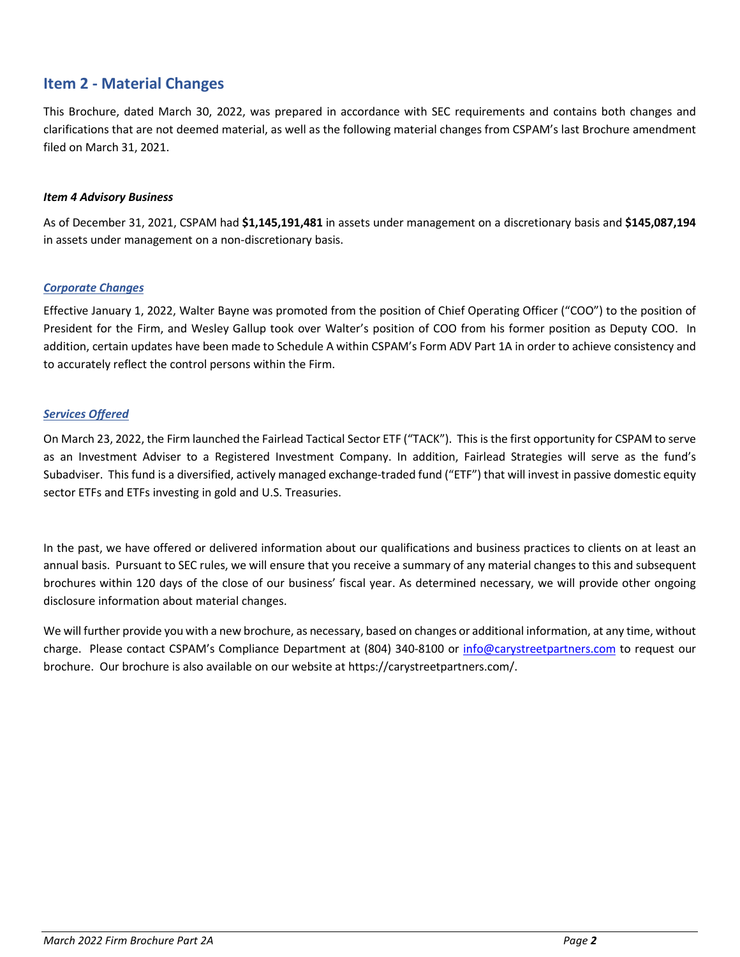# <span id="page-1-0"></span>**Item 2 - Material Changes**

This Brochure, dated March 30, 2022, was prepared in accordance with SEC requirements and contains both changes and clarifications that are not deemed material, as well as the following material changes from CSPAM's last Brochure amendment filed on March 31, 2021.

#### *Item 4 Advisory Business*

As of December 31, 2021, CSPAM had **\$1,145,191,481** in assets under management on a discretionary basis and **\$145,087,194** in assets under management on a non-discretionary basis.

#### *Corporate Changes*

Effective January 1, 2022, Walter Bayne was promoted from the position of Chief Operating Officer ("COO") to the position of President for the Firm, and Wesley Gallup took over Walter's position of COO from his former position as Deputy COO. In addition, certain updates have been made to Schedule A within CSPAM's Form ADV Part 1A in order to achieve consistency and to accurately reflect the control persons within the Firm.

#### *Services Offered*

On March 23, 2022, the Firm launched the Fairlead Tactical Sector ETF ("TACK"). This is the first opportunity for CSPAM to serve as an Investment Adviser to a Registered Investment Company. In addition, Fairlead Strategies will serve as the fund's Subadviser. This fund is a diversified, actively managed exchange-traded fund ("ETF") that will invest in passive domestic equity sector ETFs and ETFs investing in gold and U.S. Treasuries.

In the past, we have offered or delivered information about our qualifications and business practices to clients on at least an annual basis. Pursuant to SEC rules, we will ensure that you receive a summary of any material changes to this and subsequent brochures within 120 days of the close of our business' fiscal year. As determined necessary, we will provide other ongoing disclosure information about material changes.

We will further provide you with a new brochure, as necessary, based on changes or additional information, at any time, without charge. Please contact CSPAM's Compliance Department at (804) 340-8100 or [info@carystreetpartners.com](mailto:info@carystreetpartners.com) to request our brochure. Our brochure is also available on our website at https://carystreetpartners.com/.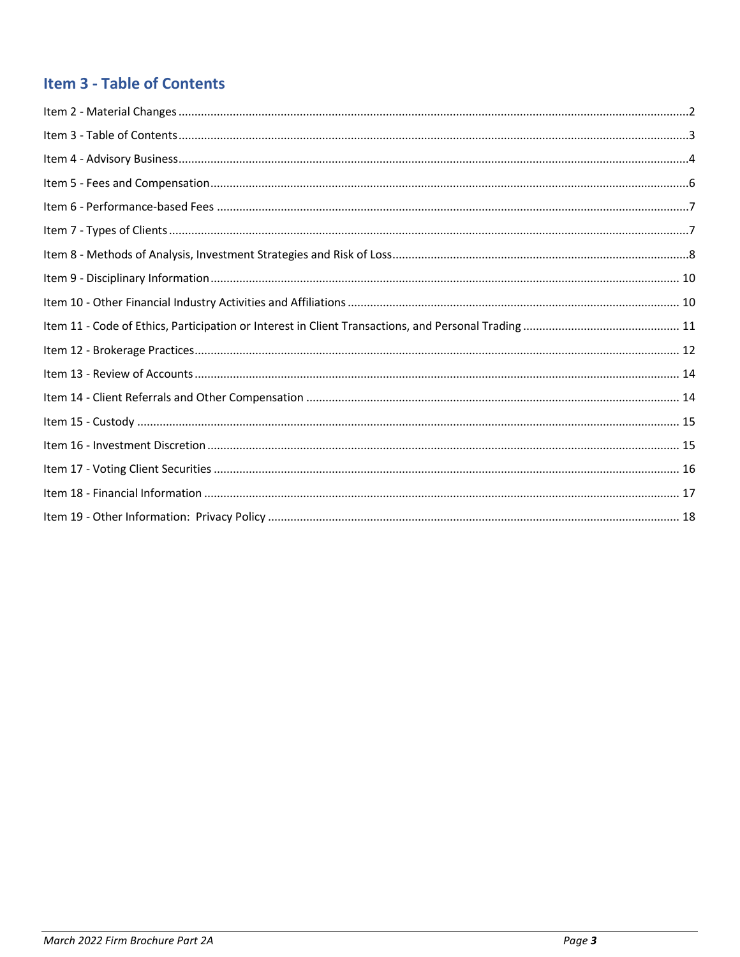# <span id="page-2-0"></span>**Item 3 - Table of Contents**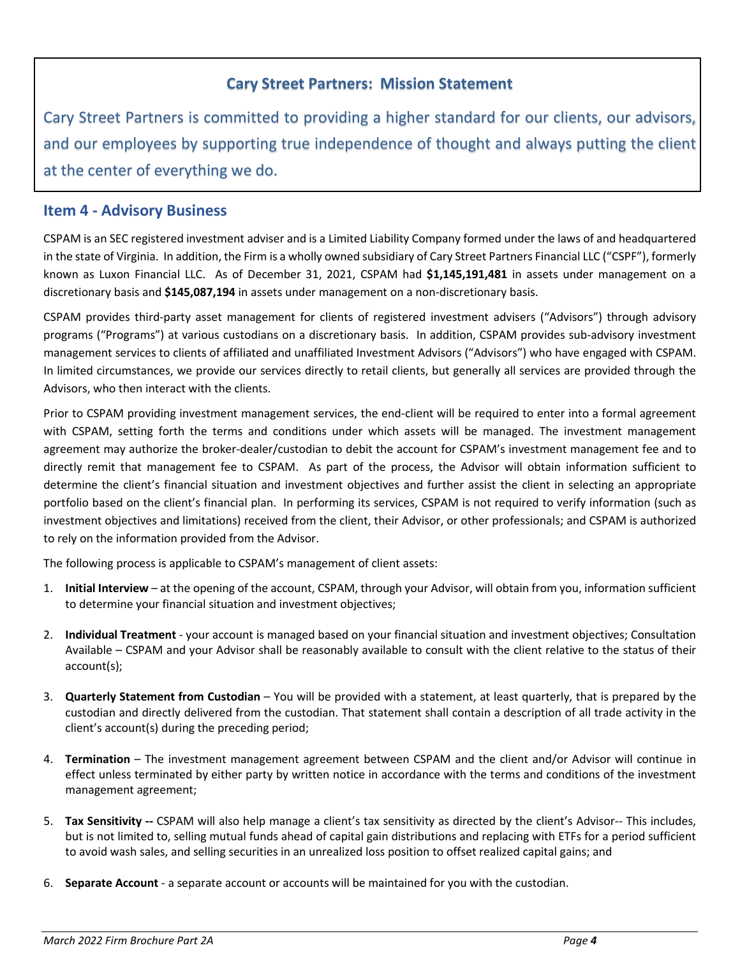# **Cary Street Partners: Mission Statement**

Cary Street Partners is committed to providing a higher standard for our clients, our advisors, and our employees by supporting true independence of thought and always putting the client at the center of everything we do.

### <span id="page-3-0"></span>**Item 4 - Advisory Business**

CSPAM is an SEC registered investment adviser and is a Limited Liability Company formed under the laws of and headquartered in the state of Virginia. In addition, the Firm is a wholly owned subsidiary of Cary Street Partners Financial LLC ("CSPF"), formerly known as Luxon Financial LLC. As of December 31, 2021, CSPAM had **\$1,145,191,481** in assets under management on a discretionary basis and **\$145,087,194** in assets under management on a non-discretionary basis.

CSPAM provides third-party asset management for clients of registered investment advisers ("Advisors") through advisory programs ("Programs") at various custodians on a discretionary basis. In addition, CSPAM provides sub-advisory investment management services to clients of affiliated and unaffiliated Investment Advisors ("Advisors") who have engaged with CSPAM. In limited circumstances, we provide our services directly to retail clients, but generally all services are provided through the Advisors, who then interact with the clients.

Prior to CSPAM providing investment management services, the end-client will be required to enter into a formal agreement with CSPAM, setting forth the terms and conditions under which assets will be managed. The investment management agreement may authorize the broker-dealer/custodian to debit the account for CSPAM's investment management fee and to directly remit that management fee to CSPAM. As part of the process, the Advisor will obtain information sufficient to determine the client's financial situation and investment objectives and further assist the client in selecting an appropriate portfolio based on the client's financial plan. In performing its services, CSPAM is not required to verify information (such as investment objectives and limitations) received from the client, their Advisor, or other professionals; and CSPAM is authorized to rely on the information provided from the Advisor.

The following process is applicable to CSPAM's management of client assets:

- 1. **Initial Interview** at the opening of the account, CSPAM, through your Advisor, will obtain from you, information sufficient to determine your financial situation and investment objectives;
- 2. **Individual Treatment** your account is managed based on your financial situation and investment objectives; Consultation Available – CSPAM and your Advisor shall be reasonably available to consult with the client relative to the status of their account(s);
- 3. **Quarterly Statement from Custodian** You will be provided with a statement, at least quarterly, that is prepared by the custodian and directly delivered from the custodian. That statement shall contain a description of all trade activity in the client's account(s) during the preceding period;
- 4. **Termination** The investment management agreement between CSPAM and the client and/or Advisor will continue in effect unless terminated by either party by written notice in accordance with the terms and conditions of the investment management agreement;
- 5. **Tax Sensitivity --** CSPAM will also help manage a client's tax sensitivity as directed by the client's Advisor-- This includes, but is not limited to, selling mutual funds ahead of capital gain distributions and replacing with ETFs for a period sufficient to avoid wash sales, and selling securities in an unrealized loss position to offset realized capital gains; and
- 6. **Separate Account** a separate account or accounts will be maintained for you with the custodian.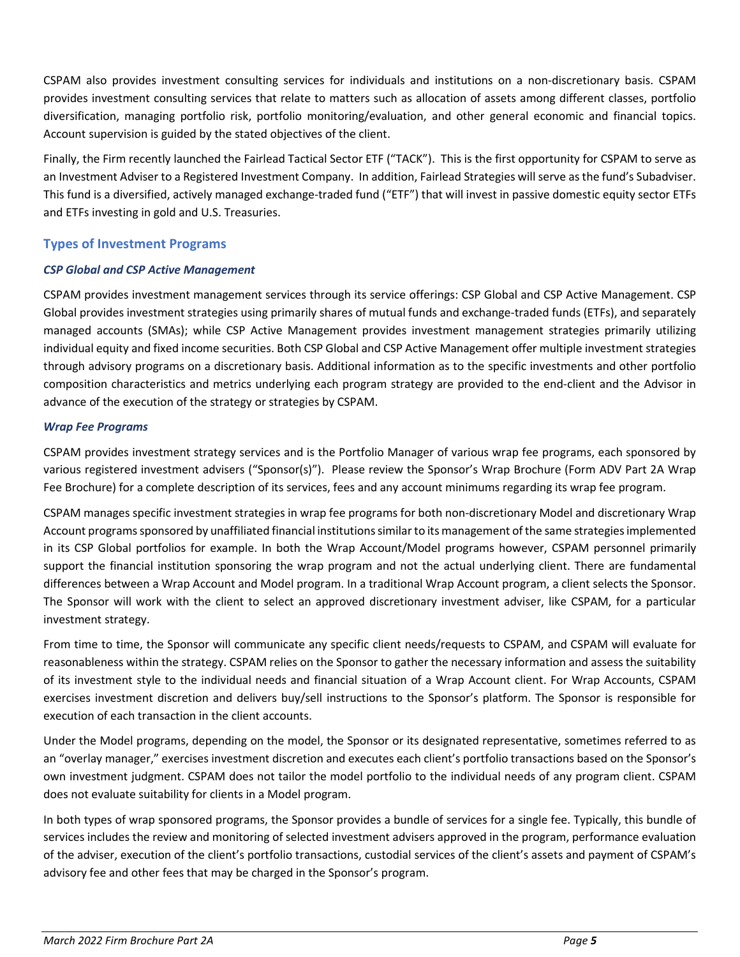CSPAM also provides investment consulting services for individuals and institutions on a non-discretionary basis. CSPAM provides investment consulting services that relate to matters such as allocation of assets among different classes, portfolio diversification, managing portfolio risk, portfolio monitoring/evaluation, and other general economic and financial topics. Account supervision is guided by the stated objectives of the client.

Finally, the Firm recently launched the Fairlead Tactical Sector ETF ("TACK"). This is the first opportunity for CSPAM to serve as an Investment Adviser to a Registered Investment Company. In addition, Fairlead Strategies will serve as the fund's Subadviser. This fund is a diversified, actively managed exchange-traded fund ("ETF") that will invest in passive domestic equity sector ETFs and ETFs investing in gold and U.S. Treasuries.

#### **Types of Investment Programs**

#### *CSP Global and CSP Active Management*

CSPAM provides investment management services through its service offerings: CSP Global and CSP Active Management. CSP Global provides investment strategies using primarily shares of mutual funds and exchange-traded funds (ETFs), and separately managed accounts (SMAs); while CSP Active Management provides investment management strategies primarily utilizing individual equity and fixed income securities. Both CSP Global and CSP Active Management offer multiple investment strategies through advisory programs on a discretionary basis. Additional information as to the specific investments and other portfolio composition characteristics and metrics underlying each program strategy are provided to the end-client and the Advisor in advance of the execution of the strategy or strategies by CSPAM.

#### *Wrap Fee Programs*

CSPAM provides investment strategy services and is the Portfolio Manager of various wrap fee programs, each sponsored by various registered investment advisers ("Sponsor(s)"). Please review the Sponsor's Wrap Brochure (Form ADV Part 2A Wrap Fee Brochure) for a complete description of its services, fees and any account minimums regarding its wrap fee program.

CSPAM manages specific investment strategies in wrap fee programs for both non-discretionary Model and discretionary Wrap Account programs sponsored by unaffiliated financial institutions similar to its management of the same strategies implemented in its CSP Global portfolios for example. In both the Wrap Account/Model programs however, CSPAM personnel primarily support the financial institution sponsoring the wrap program and not the actual underlying client. There are fundamental differences between a Wrap Account and Model program. In a traditional Wrap Account program, a client selects the Sponsor. The Sponsor will work with the client to select an approved discretionary investment adviser, like CSPAM, for a particular investment strategy.

From time to time, the Sponsor will communicate any specific client needs/requests to CSPAM, and CSPAM will evaluate for reasonableness within the strategy. CSPAM relies on the Sponsor to gather the necessary information and assess the suitability of its investment style to the individual needs and financial situation of a Wrap Account client. For Wrap Accounts, CSPAM exercises investment discretion and delivers buy/sell instructions to the Sponsor's platform. The Sponsor is responsible for execution of each transaction in the client accounts.

Under the Model programs, depending on the model, the Sponsor or its designated representative, sometimes referred to as an "overlay manager," exercises investment discretion and executes each client's portfolio transactions based on the Sponsor's own investment judgment. CSPAM does not tailor the model portfolio to the individual needs of any program client. CSPAM does not evaluate suitability for clients in a Model program.

In both types of wrap sponsored programs, the Sponsor provides a bundle of services for a single fee. Typically, this bundle of services includes the review and monitoring of selected investment advisers approved in the program, performance evaluation of the adviser, execution of the client's portfolio transactions, custodial services of the client's assets and payment of CSPAM's advisory fee and other fees that may be charged in the Sponsor's program.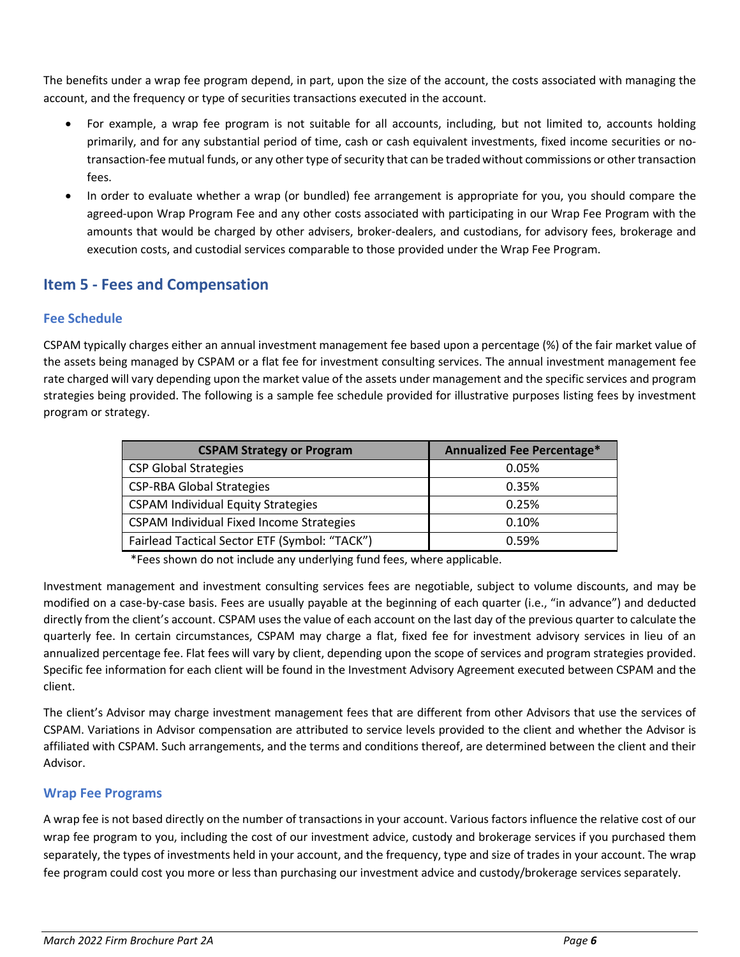The benefits under a wrap fee program depend, in part, upon the size of the account, the costs associated with managing the account, and the frequency or type of securities transactions executed in the account.

- For example, a wrap fee program is not suitable for all accounts, including, but not limited to, accounts holding primarily, and for any substantial period of time, cash or cash equivalent investments, fixed income securities or notransaction-fee mutual funds, or any other type of security that can be traded without commissions or other transaction fees.
- In order to evaluate whether a wrap (or bundled) fee arrangement is appropriate for you, you should compare the agreed-upon Wrap Program Fee and any other costs associated with participating in our Wrap Fee Program with the amounts that would be charged by other advisers, broker-dealers, and custodians, for advisory fees, brokerage and execution costs, and custodial services comparable to those provided under the Wrap Fee Program.

## <span id="page-5-0"></span>**Item 5 - Fees and Compensation**

### **Fee Schedule**

CSPAM typically charges either an annual investment management fee based upon a percentage (%) of the fair market value of the assets being managed by CSPAM or a flat fee for investment consulting services. The annual investment management fee rate charged will vary depending upon the market value of the assets under management and the specific services and program strategies being provided. The following is a sample fee schedule provided for illustrative purposes listing fees by investment program or strategy.

| <b>CSPAM Strategy or Program</b>                | Annualized Fee Percentage* |
|-------------------------------------------------|----------------------------|
| <b>CSP Global Strategies</b>                    | 0.05%                      |
| <b>CSP-RBA Global Strategies</b>                | 0.35%                      |
| <b>CSPAM Individual Equity Strategies</b>       | 0.25%                      |
| <b>CSPAM Individual Fixed Income Strategies</b> | 0.10%                      |
| Fairlead Tactical Sector ETF (Symbol: "TACK")   | 0.59%                      |

\*Fees shown do not include any underlying fund fees, where applicable.

Investment management and investment consulting services fees are negotiable, subject to volume discounts, and may be modified on a case-by-case basis. Fees are usually payable at the beginning of each quarter (i.e., "in advance") and deducted directly from the client's account. CSPAM uses the value of each account on the last day of the previous quarter to calculate the quarterly fee. In certain circumstances, CSPAM may charge a flat, fixed fee for investment advisory services in lieu of an annualized percentage fee. Flat fees will vary by client, depending upon the scope of services and program strategies provided. Specific fee information for each client will be found in the Investment Advisory Agreement executed between CSPAM and the client.

The client's Advisor may charge investment management fees that are different from other Advisors that use the services of CSPAM. Variations in Advisor compensation are attributed to service levels provided to the client and whether the Advisor is affiliated with CSPAM. Such arrangements, and the terms and conditions thereof, are determined between the client and their Advisor.

### **Wrap Fee Programs**

A wrap fee is not based directly on the number of transactions in your account. Various factors influence the relative cost of our wrap fee program to you, including the cost of our investment advice, custody and brokerage services if you purchased them separately, the types of investments held in your account, and the frequency, type and size of trades in your account. The wrap fee program could cost you more or less than purchasing our investment advice and custody/brokerage services separately.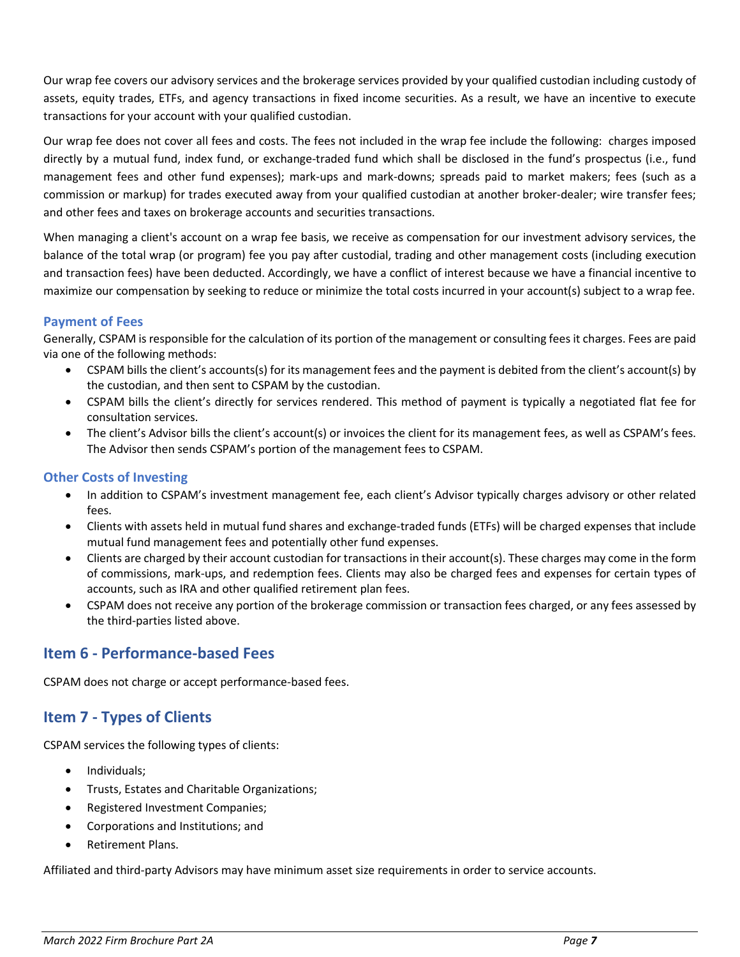Our wrap fee covers our advisory services and the brokerage services provided by your qualified custodian including custody of assets, equity trades, ETFs, and agency transactions in fixed income securities. As a result, we have an incentive to execute transactions for your account with your qualified custodian.

Our wrap fee does not cover all fees and costs. The fees not included in the wrap fee include the following: charges imposed directly by a mutual fund, index fund, or exchange-traded fund which shall be disclosed in the fund's prospectus (i.e., fund management fees and other fund expenses); mark-ups and mark-downs; spreads paid to market makers; fees (such as a commission or markup) for trades executed away from your qualified custodian at another broker-dealer; wire transfer fees; and other fees and taxes on brokerage accounts and securities transactions.

When managing a client's account on a wrap fee basis, we receive as compensation for our investment advisory services, the balance of the total wrap (or program) fee you pay after custodial, trading and other management costs (including execution and transaction fees) have been deducted. Accordingly, we have a conflict of interest because we have a financial incentive to maximize our compensation by seeking to reduce or minimize the total costs incurred in your account(s) subject to a wrap fee.

### **Payment of Fees**

Generally, CSPAM is responsible for the calculation of its portion of the management or consulting fees it charges. Fees are paid via one of the following methods:

- CSPAM bills the client's accounts(s) for its management fees and the payment is debited from the client's account(s) by the custodian, and then sent to CSPAM by the custodian.
- CSPAM bills the client's directly for services rendered. This method of payment is typically a negotiated flat fee for consultation services.
- The client's Advisor bills the client's account(s) or invoices the client for its management fees, as well as CSPAM's fees. The Advisor then sends CSPAM's portion of the management fees to CSPAM.

### **Other Costs of Investing**

- In addition to CSPAM's investment management fee, each client's Advisor typically charges advisory or other related fees.
- Clients with assets held in mutual fund shares and exchange-traded funds (ETFs) will be charged expenses that include mutual fund management fees and potentially other fund expenses.
- Clients are charged by their account custodian for transactions in their account(s). These charges may come in the form of commissions, mark-ups, and redemption fees. Clients may also be charged fees and expenses for certain types of accounts, such as IRA and other qualified retirement plan fees.
- CSPAM does not receive any portion of the brokerage commission or transaction fees charged, or any fees assessed by the third-parties listed above.

## <span id="page-6-0"></span>**Item 6 - Performance-based Fees**

CSPAM does not charge or accept performance-based fees.

# <span id="page-6-1"></span>**Item 7 - Types of Clients**

CSPAM services the following types of clients:

- Individuals;
- Trusts, Estates and Charitable Organizations;
- Registered Investment Companies;
- Corporations and Institutions; and
- Retirement Plans.

Affiliated and third-party Advisors may have minimum asset size requirements in order to service accounts.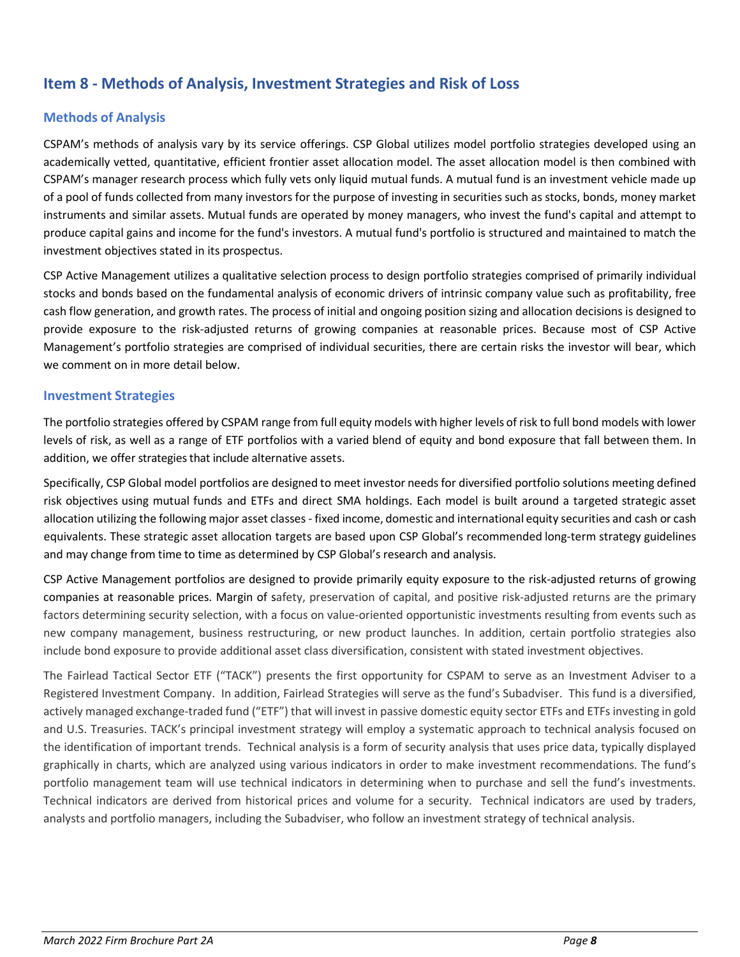# <span id="page-7-0"></span>**Item 8 - Methods of Analysis, Investment Strategies and Risk of Loss**

### **Methods of Analysis**

CSPAM's methods of analysis vary by its service offerings. CSP Global utilizes model portfolio strategies developed using an academically vetted, quantitative, efficient frontier asset allocation model. The asset allocation model is then combined with CSPAM's manager research process which fully vets only liquid mutual funds. A mutual fund is an investment vehicle made up of a pool of funds collected from many investors for the purpose of investing in securities such as stocks, bonds, money market instruments and similar assets. Mutual funds are operated by money managers, who invest the fund's capital and attempt to produce capital gains and income for the fund's investors. A mutual fund's portfolio is structured and maintained to match the investment objectives stated in its prospectus.

CSP Active Management utilizes a qualitative selection process to design portfolio strategies comprised of primarily individual stocks and bonds based on the fundamental analysis of economic drivers of intrinsic company value such as profitability, free cash flow generation, and growth rates. The process of initial and ongoing position sizing and allocation decisions is designed to provide exposure to the risk-adjusted returns of growing companies at reasonable prices. Because most of CSP Active Management's portfolio strategies are comprised of individual securities, there are certain risks the investor will bear, which we comment on in more detail below.

#### **Investment Strategies**

The portfolio strategies offered by CSPAM range from full equity models with higher levels of risk to full bond models with lower levels of risk, as well as a range of ETF portfolios with a varied blend of equity and bond exposure that fall between them. In addition, we offer strategies that include alternative assets.

Specifically, CSP Global model portfolios are designed to meet investor needs for diversified portfolio solutions meeting defined risk objectives using mutual funds and ETFs and direct SMA holdings. Each model is built around a targeted strategic asset allocation utilizing the following major asset classes- fixed income, domestic and international equity securities and cash or cash equivalents. These strategic asset allocation targets are based upon CSP Global's recommended long-term strategy guidelines and may change from time to time as determined by CSP Global's research and analysis.

CSP Active Management portfolios are designed to provide primarily equity exposure to the risk-adjusted returns of growing companies at reasonable prices. Margin of safety, preservation of capital, and positive risk-adjusted returns are the primary factors determining security selection, with a focus on value-oriented opportunistic investments resulting from events such as new company management, business restructuring, or new product launches. In addition, certain portfolio strategies also include bond exposure to provide additional asset class diversification, consistent with stated investment objectives.

The Fairlead Tactical Sector ETF ("TACK") presents the first opportunity for CSPAM to serve as an Investment Adviser to a Registered Investment Company. In addition, Fairlead Strategies will serve as the fund's Subadviser. This fund is a diversified, actively managed exchange-traded fund ("ETF") that will invest in passive domestic equity sector ETFs and ETFs investing in gold and U.S. Treasuries. TACK's principal investment strategy will employ a systematic approach to technical analysis focused on the identification of important trends. Technical analysis is a form of security analysis that uses price data, typically displayed graphically in charts, which are analyzed using various indicators in order to make investment recommendations. The fund's portfolio management team will use technical indicators in determining when to purchase and sell the fund's investments. Technical indicators are derived from historical prices and volume for a security. Technical indicators are used by traders, analysts and portfolio managers, including the Subadviser, who follow an investment strategy of technical analysis.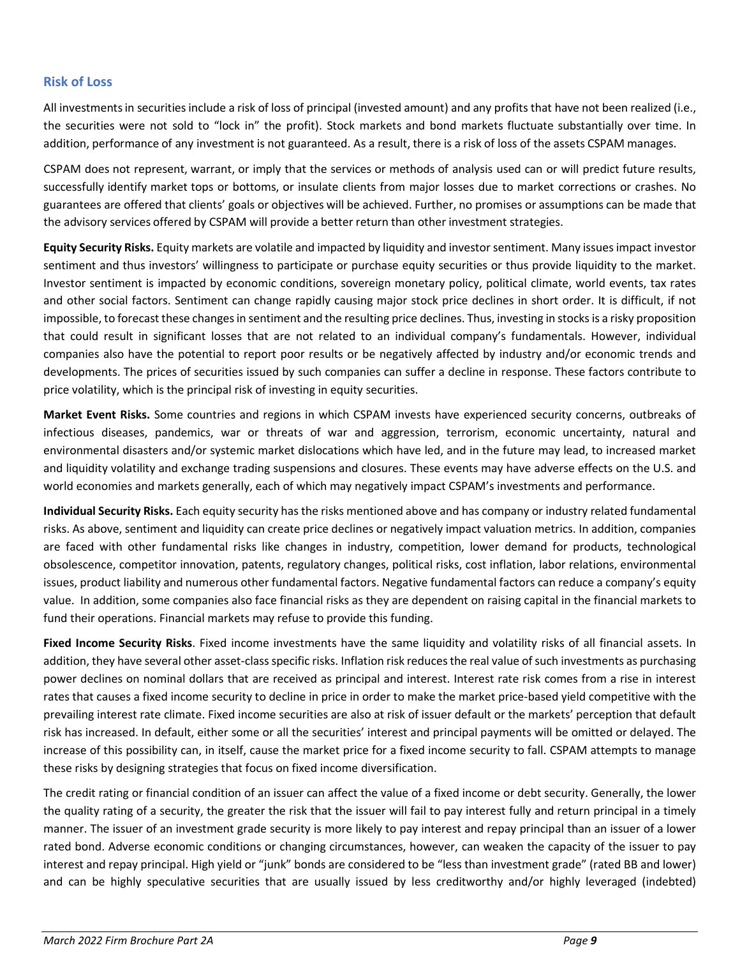#### **Risk of Loss**

All investmentsin securitiesinclude a risk of loss of principal (invested amount) and any profits that have not been realized (i.e., the securities were not sold to "lock in" the profit). Stock markets and bond markets fluctuate substantially over time. In addition, performance of any investment is not guaranteed. As a result, there is a risk of loss of the assets CSPAM manages.

CSPAM does not represent, warrant, or imply that the services or methods of analysis used can or will predict future results, successfully identify market tops or bottoms, or insulate clients from major losses due to market corrections or crashes. No guarantees are offered that clients' goals or objectives will be achieved. Further, no promises or assumptions can be made that the advisory services offered by CSPAM will provide a better return than other investment strategies.

**Equity Security Risks.** Equity markets are volatile and impacted by liquidity and investor sentiment. Many issues impact investor sentiment and thus investors' willingness to participate or purchase equity securities or thus provide liquidity to the market. Investor sentiment is impacted by economic conditions, sovereign monetary policy, political climate, world events, tax rates and other social factors. Sentiment can change rapidly causing major stock price declines in short order. It is difficult, if not impossible, to forecast these changes in sentiment and the resulting price declines. Thus, investing in stocks is a risky proposition that could result in significant losses that are not related to an individual company's fundamentals. However, individual companies also have the potential to report poor results or be negatively affected by industry and/or economic trends and developments. The prices of securities issued by such companies can suffer a decline in response. These factors contribute to price volatility, which is the principal risk of investing in equity securities.

**Market Event Risks.** Some countries and regions in which CSPAM invests have experienced security concerns, outbreaks of infectious diseases, pandemics, war or threats of war and aggression, terrorism, economic uncertainty, natural and environmental disasters and/or systemic market dislocations which have led, and in the future may lead, to increased market and liquidity volatility and exchange trading suspensions and closures. These events may have adverse effects on the U.S. and world economies and markets generally, each of which may negatively impact CSPAM's investments and performance.

**Individual Security Risks.** Each equity security has the risks mentioned above and has company or industry related fundamental risks. As above, sentiment and liquidity can create price declines or negatively impact valuation metrics. In addition, companies are faced with other fundamental risks like changes in industry, competition, lower demand for products, technological obsolescence, competitor innovation, patents, regulatory changes, political risks, cost inflation, labor relations, environmental issues, product liability and numerous other fundamental factors. Negative fundamental factors can reduce a company's equity value. In addition, some companies also face financial risks as they are dependent on raising capital in the financial markets to fund their operations. Financial markets may refuse to provide this funding.

**Fixed Income Security Risks**. Fixed income investments have the same liquidity and volatility risks of all financial assets. In addition, they have several other asset-class specific risks. Inflation risk reduces the real value of such investments as purchasing power declines on nominal dollars that are received as principal and interest. Interest rate risk comes from a rise in interest rates that causes a fixed income security to decline in price in order to make the market price-based yield competitive with the prevailing interest rate climate. Fixed income securities are also at risk of issuer default or the markets' perception that default risk has increased. In default, either some or all the securities' interest and principal payments will be omitted or delayed. The increase of this possibility can, in itself, cause the market price for a fixed income security to fall. CSPAM attempts to manage these risks by designing strategies that focus on fixed income diversification.

The credit rating or financial condition of an issuer can affect the value of a fixed income or debt security. Generally, the lower the quality rating of a security, the greater the risk that the issuer will fail to pay interest fully and return principal in a timely manner. The issuer of an investment grade security is more likely to pay interest and repay principal than an issuer of a lower rated bond. Adverse economic conditions or changing circumstances, however, can weaken the capacity of the issuer to pay interest and repay principal. High yield or "junk" bonds are considered to be "less than investment grade" (rated BB and lower) and can be highly speculative securities that are usually issued by less creditworthy and/or highly leveraged (indebted)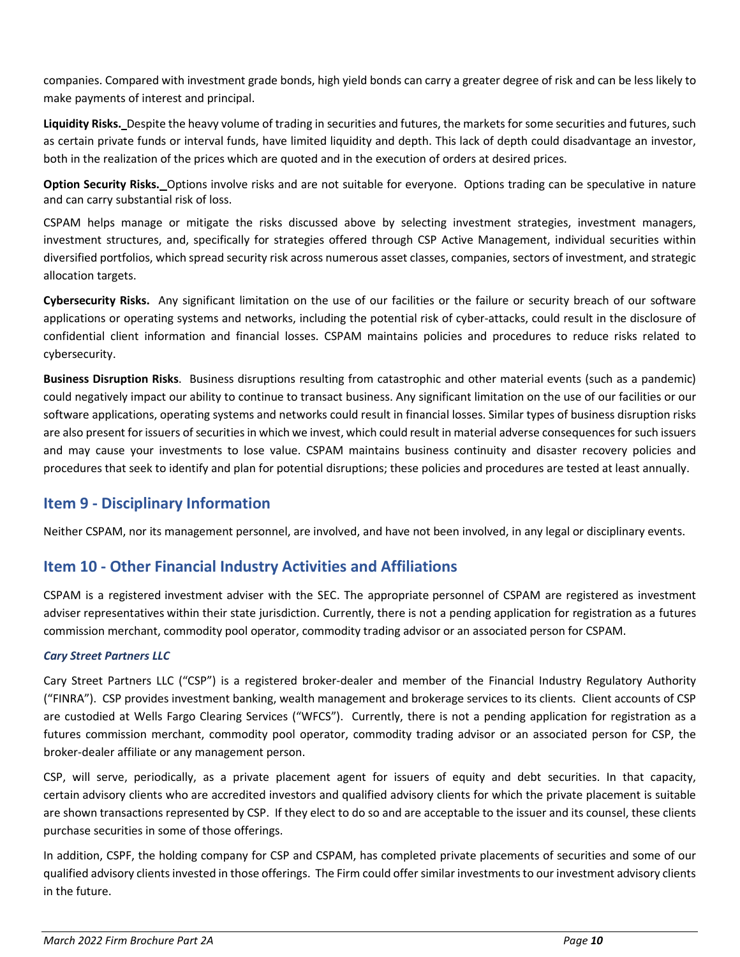companies. Compared with investment grade bonds, high yield bonds can carry a greater degree of risk and can be less likely to make payments of interest and principal.

**Liquidity Risks.** Despite the heavy volume of trading in securities and futures, the markets for some securities and futures, such as certain private funds or interval funds, have limited liquidity and depth. This lack of depth could disadvantage an investor, both in the realization of the prices which are quoted and in the execution of orders at desired prices.

**Option Security Risks.** Options involve risks and are not suitable for everyone. Options trading can be speculative in nature and can carry substantial risk of loss.

CSPAM helps manage or mitigate the risks discussed above by selecting investment strategies, investment managers, investment structures, and, specifically for strategies offered through CSP Active Management, individual securities within diversified portfolios, which spread security risk across numerous asset classes, companies, sectors of investment, and strategic allocation targets.

**Cybersecurity Risks.** Any significant limitation on the use of our facilities or the failure or security breach of our software applications or operating systems and networks, including the potential risk of cyber-attacks, could result in the disclosure of confidential client information and financial losses. CSPAM maintains policies and procedures to reduce risks related to cybersecurity.

**Business Disruption Risks**. Business disruptions resulting from catastrophic and other material events (such as a pandemic) could negatively impact our ability to continue to transact business. Any significant limitation on the use of our facilities or our software applications, operating systems and networks could result in financial losses. Similar types of business disruption risks are also present for issuers of securities in which we invest, which could result in material adverse consequences for such issuers and may cause your investments to lose value. CSPAM maintains business continuity and disaster recovery policies and procedures that seek to identify and plan for potential disruptions; these policies and procedures are tested at least annually.

# <span id="page-9-0"></span>**Item 9 - Disciplinary Information**

Neither CSPAM, nor its management personnel, are involved, and have not been involved, in any legal or disciplinary events.

# <span id="page-9-1"></span>**Item 10 - Other Financial Industry Activities and Affiliations**

CSPAM is a registered investment adviser with the SEC. The appropriate personnel of CSPAM are registered as investment adviser representatives within their state jurisdiction. Currently, there is not a pending application for registration as a futures commission merchant, commodity pool operator, commodity trading advisor or an associated person for CSPAM.

### *Cary Street Partners LLC*

Cary Street Partners LLC ("CSP") is a registered broker-dealer and member of the Financial Industry Regulatory Authority ("FINRA"). CSP provides investment banking, wealth management and brokerage services to its clients. Client accounts of CSP are custodied at Wells Fargo Clearing Services ("WFCS"). Currently, there is not a pending application for registration as a futures commission merchant, commodity pool operator, commodity trading advisor or an associated person for CSP, the broker-dealer affiliate or any management person.

CSP, will serve, periodically, as a private placement agent for issuers of equity and debt securities. In that capacity, certain advisory clients who are accredited investors and qualified advisory clients for which the private placement is suitable are shown transactions represented by CSP. If they elect to do so and are acceptable to the issuer and its counsel, these clients purchase securities in some of those offerings.

In addition, CSPF, the holding company for CSP and CSPAM, has completed private placements of securities and some of our qualified advisory clients invested in those offerings. The Firm could offer similar investments to our investment advisory clients in the future.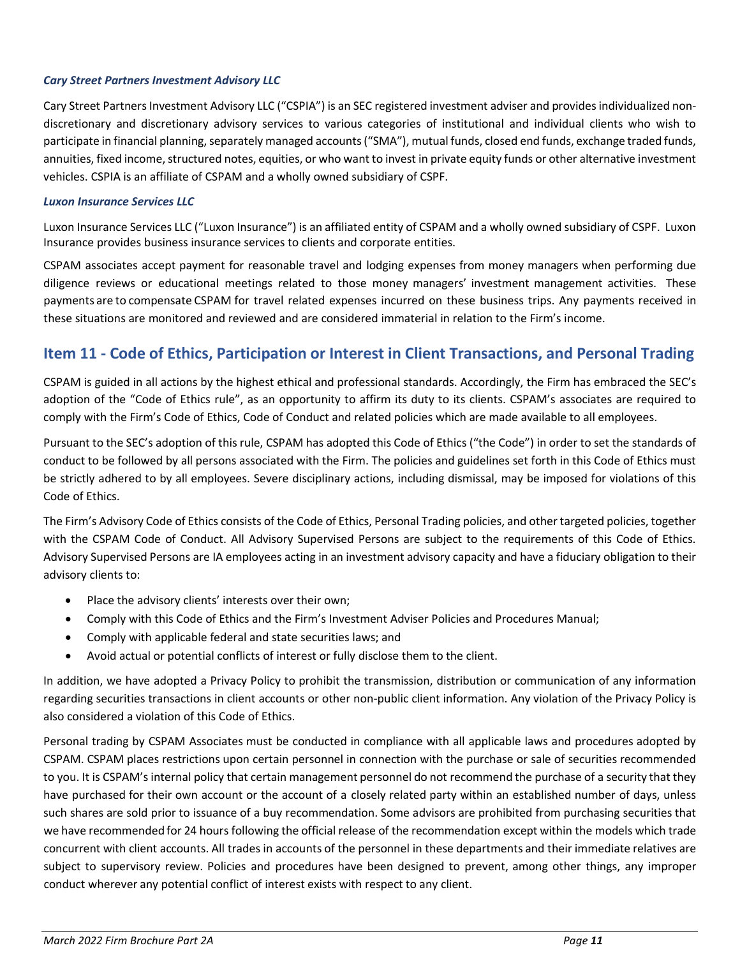#### *Cary Street Partners Investment Advisory LLC*

Cary Street Partners Investment Advisory LLC ("CSPIA") is an SEC registered investment adviser and provides individualized nondiscretionary and discretionary advisory services to various categories of institutional and individual clients who wish to participate in financial planning, separately managed accounts ("SMA"), mutual funds, closed end funds, exchange traded funds, annuities, fixed income, structured notes, equities, or who want to invest in private equity funds or other alternative investment vehicles. CSPIA is an affiliate of CSPAM and a wholly owned subsidiary of CSPF.

#### *Luxon Insurance Services LLC*

Luxon Insurance Services LLC ("Luxon Insurance") is an affiliated entity of CSPAM and a wholly owned subsidiary of CSPF. Luxon Insurance provides business insurance services to clients and corporate entities.

CSPAM associates accept payment for reasonable travel and lodging expenses from money managers when performing due diligence reviews or educational meetings related to those money managers' investment management activities. These payments are to compensate CSPAM for travel related expenses incurred on these business trips. Any payments received in these situations are monitored and reviewed and are considered immaterial in relation to the Firm's income.

# <span id="page-10-0"></span>**Item 11 - Code of Ethics, Participation or Interest in Client Transactions, and Personal Trading**

CSPAM is guided in all actions by the highest ethical and professional standards. Accordingly, the Firm has embraced the SEC's adoption of the "Code of Ethics rule", as an opportunity to affirm its duty to its clients. CSPAM's associates are required to comply with the Firm's Code of Ethics, Code of Conduct and related policies which are made available to all employees.

Pursuant to the SEC's adoption of this rule, CSPAM has adopted this Code of Ethics ("the Code") in order to set the standards of conduct to be followed by all persons associated with the Firm. The policies and guidelines set forth in this Code of Ethics must be strictly adhered to by all employees. Severe disciplinary actions, including dismissal, may be imposed for violations of this Code of Ethics.

The Firm's Advisory Code of Ethics consists of the Code of Ethics, Personal Trading policies, and other targeted policies, together with the CSPAM Code of Conduct. All Advisory Supervised Persons are subject to the requirements of this Code of Ethics. Advisory Supervised Persons are IA employees acting in an investment advisory capacity and have a fiduciary obligation to their advisory clients to:

- Place the advisory clients' interests over their own;
- Comply with this Code of Ethics and the Firm's Investment Adviser Policies and Procedures Manual;
- Comply with applicable federal and state securities laws; and
- Avoid actual or potential conflicts of interest or fully disclose them to the client.

In addition, we have adopted a Privacy Policy to prohibit the transmission, distribution or communication of any information regarding securities transactions in client accounts or other non-public client information. Any violation of the Privacy Policy is also considered a violation of this Code of Ethics.

Personal trading by CSPAM Associates must be conducted in compliance with all applicable laws and procedures adopted by CSPAM. CSPAM places restrictions upon certain personnel in connection with the purchase or sale of securities recommended to you. It is CSPAM's internal policy that certain management personnel do not recommend the purchase of a security that they have purchased for their own account or the account of a closely related party within an established number of days, unless such shares are sold prior to issuance of a buy recommendation. Some advisors are prohibited from purchasing securities that we have recommended for 24 hours following the official release of the recommendation except within the models which trade concurrent with client accounts. All trades in accounts of the personnel in these departments and their immediate relatives are subject to supervisory review. Policies and procedures have been designed to prevent, among other things, any improper conduct wherever any potential conflict of interest exists with respect to any client.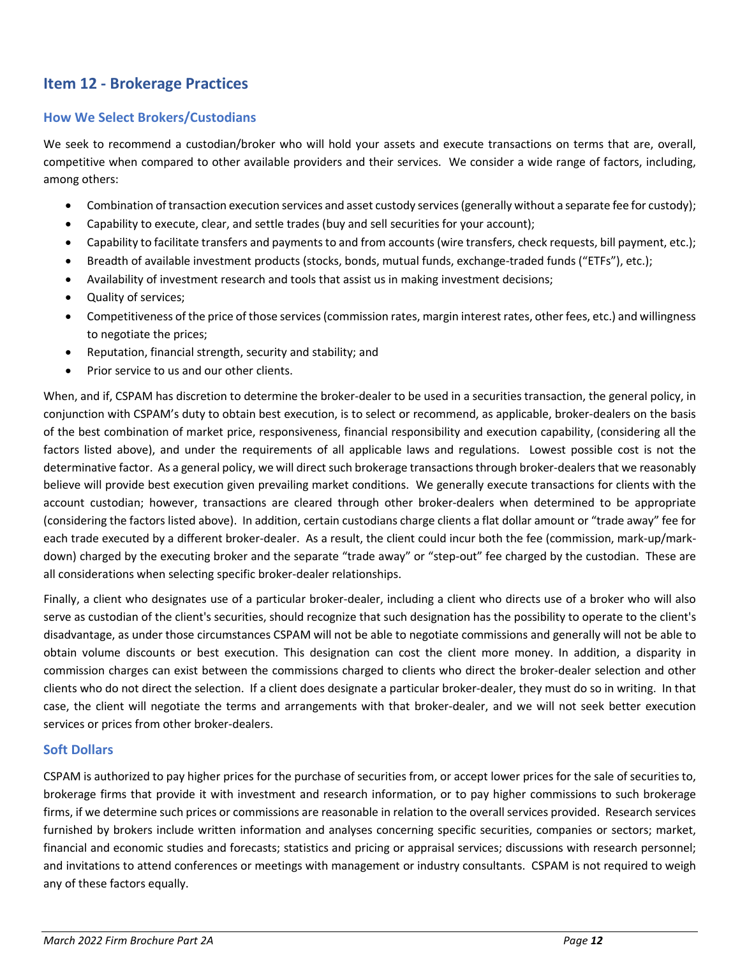# <span id="page-11-0"></span>**Item 12 - Brokerage Practices**

### **How We Select Brokers/Custodians**

We seek to recommend a custodian/broker who will hold your assets and execute transactions on terms that are, overall, competitive when compared to other available providers and their services. We consider a wide range of factors, including, among others:

- Combination of transaction execution services and asset custody services (generally without a separate fee for custody);
- Capability to execute, clear, and settle trades (buy and sell securities for your account);
- Capability to facilitate transfers and payments to and from accounts (wire transfers, check requests, bill payment, etc.);
- Breadth of available investment products (stocks, bonds, mutual funds, exchange-traded funds ("ETFs"), etc.);
- Availability of investment research and tools that assist us in making investment decisions;
- Quality of services;
- Competitiveness of the price of those services (commission rates, margin interest rates, other fees, etc.) and willingness to negotiate the prices;
- Reputation, financial strength, security and stability; and
- Prior service to us and our other clients.

When, and if, CSPAM has discretion to determine the broker-dealer to be used in a securities transaction, the general policy, in conjunction with CSPAM's duty to obtain best execution, is to select or recommend, as applicable, broker-dealers on the basis of the best combination of market price, responsiveness, financial responsibility and execution capability, (considering all the factors listed above), and under the requirements of all applicable laws and regulations. Lowest possible cost is not the determinative factor. As a general policy, we will direct such brokerage transactions through broker-dealers that we reasonably believe will provide best execution given prevailing market conditions. We generally execute transactions for clients with the account custodian; however, transactions are cleared through other broker-dealers when determined to be appropriate (considering the factors listed above). In addition, certain custodians charge clients a flat dollar amount or "trade away" fee for each trade executed by a different broker-dealer. As a result, the client could incur both the fee (commission, mark-up/markdown) charged by the executing broker and the separate "trade away" or "step-out" fee charged by the custodian. These are all considerations when selecting specific broker-dealer relationships.

Finally, a client who designates use of a particular broker-dealer, including a client who directs use of a broker who will also serve as custodian of the client's securities, should recognize that such designation has the possibility to operate to the client's disadvantage, as under those circumstances CSPAM will not be able to negotiate commissions and generally will not be able to obtain volume discounts or best execution. This designation can cost the client more money. In addition, a disparity in commission charges can exist between the commissions charged to clients who direct the broker-dealer selection and other clients who do not direct the selection. If a client does designate a particular broker-dealer, they must do so in writing. In that case, the client will negotiate the terms and arrangements with that broker-dealer, and we will not seek better execution services or prices from other broker-dealers.

#### **Soft Dollars**

CSPAM is authorized to pay higher prices for the purchase of securities from, or accept lower prices for the sale of securities to, brokerage firms that provide it with investment and research information, or to pay higher commissions to such brokerage firms, if we determine such prices or commissions are reasonable in relation to the overall services provided. Research services furnished by brokers include written information and analyses concerning specific securities, companies or sectors; market, financial and economic studies and forecasts; statistics and pricing or appraisal services; discussions with research personnel; and invitations to attend conferences or meetings with management or industry consultants. CSPAM is not required to weigh any of these factors equally.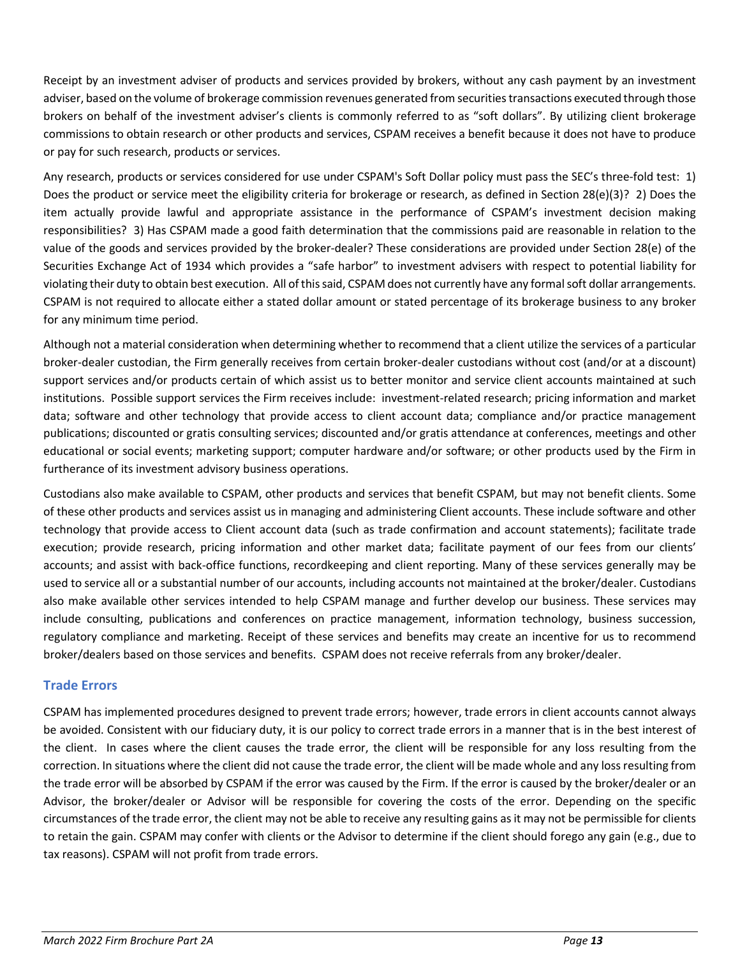Receipt by an investment adviser of products and services provided by brokers, without any cash payment by an investment adviser, based on the volume of brokerage commission revenues generated from securities transactions executed through those brokers on behalf of the investment adviser's clients is commonly referred to as "soft dollars". By utilizing client brokerage commissions to obtain research or other products and services, CSPAM receives a benefit because it does not have to produce or pay for such research, products or services.

Any research, products or services considered for use under CSPAM's Soft Dollar policy must pass the SEC's three-fold test: 1) Does the product or service meet the eligibility criteria for brokerage or research, as defined in Section 28(e)(3)? 2) Does the item actually provide lawful and appropriate assistance in the performance of CSPAM's investment decision making responsibilities? 3) Has CSPAM made a good faith determination that the commissions paid are reasonable in relation to the value of the goods and services provided by the broker-dealer? These considerations are provided under Section 28(e) of the Securities Exchange Act of 1934 which provides a "safe harbor" to investment advisers with respect to potential liability for violating their duty to obtain best execution. All of this said, CSPAM does not currently have any formal soft dollar arrangements. CSPAM is not required to allocate either a stated dollar amount or stated percentage of its brokerage business to any broker for any minimum time period.

Although not a material consideration when determining whether to recommend that a client utilize the services of a particular broker-dealer custodian, the Firm generally receives from certain broker-dealer custodians without cost (and/or at a discount) support services and/or products certain of which assist us to better monitor and service client accounts maintained at such institutions. Possible support services the Firm receives include: investment-related research; pricing information and market data; software and other technology that provide access to client account data; compliance and/or practice management publications; discounted or gratis consulting services; discounted and/or gratis attendance at conferences, meetings and other educational or social events; marketing support; computer hardware and/or software; or other products used by the Firm in furtherance of its investment advisory business operations.

Custodians also make available to CSPAM, other products and services that benefit CSPAM, but may not benefit clients. Some of these other products and services assist us in managing and administering Client accounts. These include software and other technology that provide access to Client account data (such as trade confirmation and account statements); facilitate trade execution; provide research, pricing information and other market data; facilitate payment of our fees from our clients' accounts; and assist with back-office functions, recordkeeping and client reporting. Many of these services generally may be used to service all or a substantial number of our accounts, including accounts not maintained at the broker/dealer. Custodians also make available other services intended to help CSPAM manage and further develop our business. These services may include consulting, publications and conferences on practice management, information technology, business succession, regulatory compliance and marketing. Receipt of these services and benefits may create an incentive for us to recommend broker/dealers based on those services and benefits. CSPAM does not receive referrals from any broker/dealer.

### **Trade Errors**

CSPAM has implemented procedures designed to prevent trade errors; however, trade errors in client accounts cannot always be avoided. Consistent with our fiduciary duty, it is our policy to correct trade errors in a manner that is in the best interest of the client. In cases where the client causes the trade error, the client will be responsible for any loss resulting from the correction. In situations where the client did not cause the trade error, the client will be made whole and any loss resulting from the trade error will be absorbed by CSPAM if the error was caused by the Firm. If the error is caused by the broker/dealer or an Advisor, the broker/dealer or Advisor will be responsible for covering the costs of the error. Depending on the specific circumstances of the trade error, the client may not be able to receive any resulting gains as it may not be permissible for clients to retain the gain. CSPAM may confer with clients or the Advisor to determine if the client should forego any gain (e.g., due to tax reasons). CSPAM will not profit from trade errors.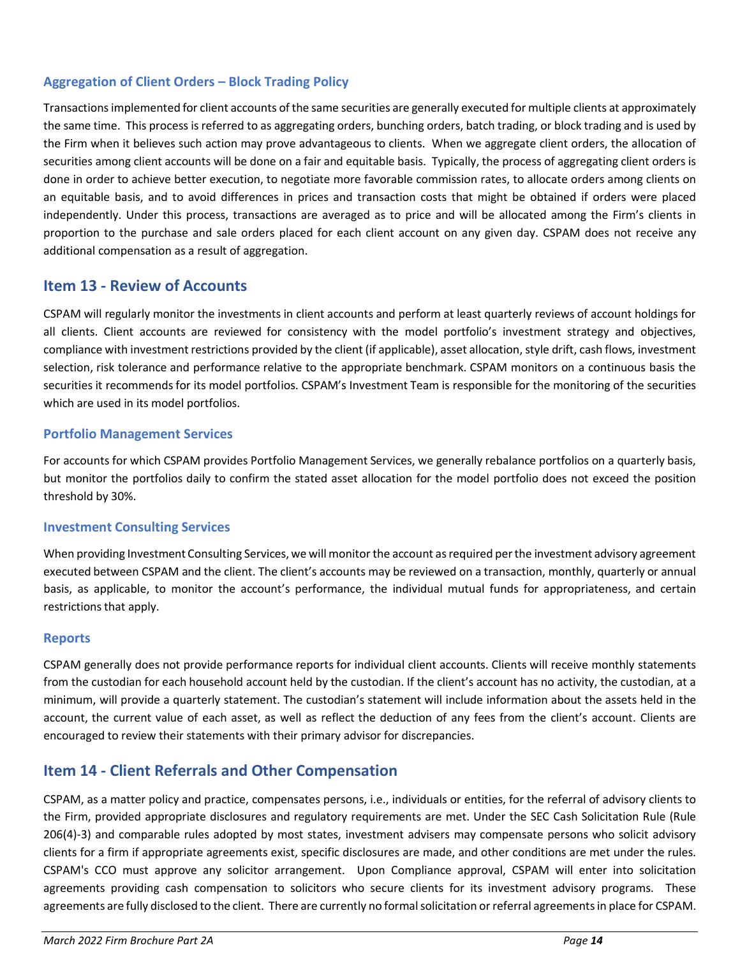### **Aggregation of Client Orders – Block Trading Policy**

Transactions implemented for client accounts of the same securities are generally executed for multiple clients at approximately the same time. This process is referred to as aggregating orders, bunching orders, batch trading, or block trading and is used by the Firm when it believes such action may prove advantageous to clients. When we aggregate client orders, the allocation of securities among client accounts will be done on a fair and equitable basis. Typically, the process of aggregating client orders is done in order to achieve better execution, to negotiate more favorable commission rates, to allocate orders among clients on an equitable basis, and to avoid differences in prices and transaction costs that might be obtained if orders were placed independently. Under this process, transactions are averaged as to price and will be allocated among the Firm's clients in proportion to the purchase and sale orders placed for each client account on any given day. CSPAM does not receive any additional compensation as a result of aggregation.

### <span id="page-13-0"></span>**Item 13 - Review of Accounts**

CSPAM will regularly monitor the investments in client accounts and perform at least quarterly reviews of account holdings for all clients. Client accounts are reviewed for consistency with the model portfolio's investment strategy and objectives, compliance with investment restrictions provided by the client (if applicable), asset allocation, style drift, cash flows, investment selection, risk tolerance and performance relative to the appropriate benchmark. CSPAM monitors on a continuous basis the securities it recommends for its model portfolios. CSPAM's Investment Team is responsible for the monitoring of the securities which are used in its model portfolios.

### **Portfolio Management Services**

For accounts for which CSPAM provides Portfolio Management Services, we generally rebalance portfolios on a quarterly basis, but monitor the portfolios daily to confirm the stated asset allocation for the model portfolio does not exceed the position threshold by 30%.

### **Investment Consulting Services**

When providing Investment Consulting Services, we will monitor the account as required per the investment advisory agreement executed between CSPAM and the client. The client's accounts may be reviewed on a transaction, monthly, quarterly or annual basis, as applicable, to monitor the account's performance, the individual mutual funds for appropriateness, and certain restrictions that apply.

#### **Reports**

CSPAM generally does not provide performance reports for individual client accounts. Clients will receive monthly statements from the custodian for each household account held by the custodian. If the client's account has no activity, the custodian, at a minimum, will provide a quarterly statement. The custodian's statement will include information about the assets held in the account, the current value of each asset, as well as reflect the deduction of any fees from the client's account. Clients are encouraged to review their statements with their primary advisor for discrepancies.

## <span id="page-13-1"></span>**Item 14 - Client Referrals and Other Compensation**

CSPAM, as a matter policy and practice, compensates persons, i.e., individuals or entities, for the referral of advisory clients to the Firm, provided appropriate disclosures and regulatory requirements are met. Under the SEC Cash Solicitation Rule (Rule 206(4)-3) and comparable rules adopted by most states, investment advisers may compensate persons who solicit advisory clients for a firm if appropriate agreements exist, specific disclosures are made, and other conditions are met under the rules. CSPAM's CCO must approve any solicitor arrangement. Upon Compliance approval, CSPAM will enter into solicitation agreements providing cash compensation to solicitors who secure clients for its investment advisory programs. These agreements are fully disclosed to the client. There are currently no formal solicitation or referral agreements in place for CSPAM.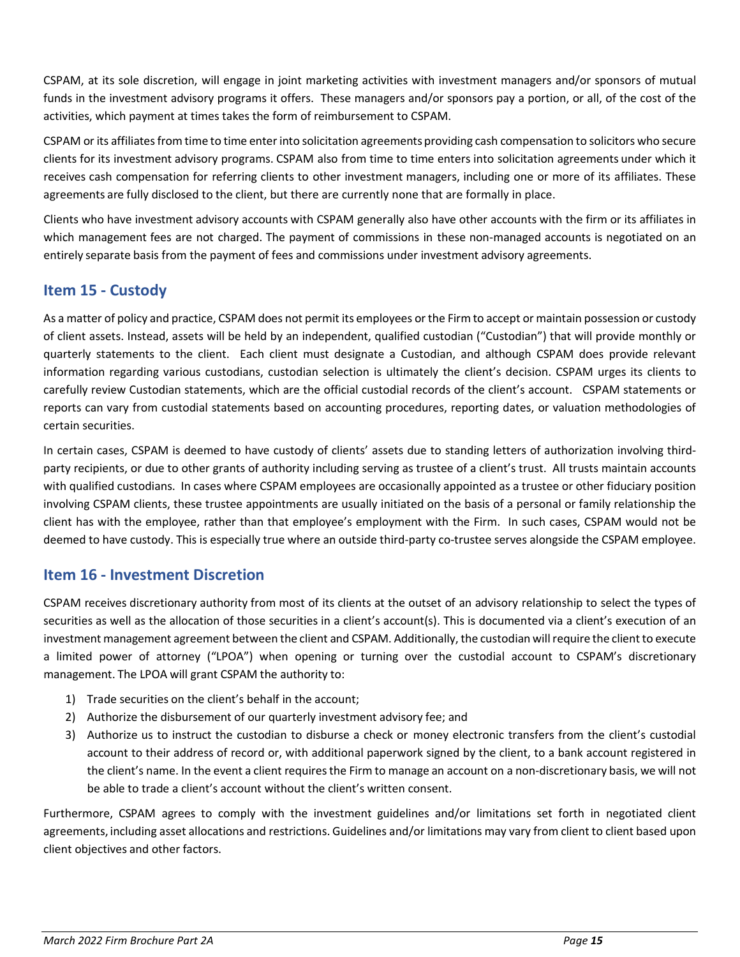CSPAM, at its sole discretion, will engage in joint marketing activities with investment managers and/or sponsors of mutual funds in the investment advisory programs it offers. These managers and/or sponsors pay a portion, or all, of the cost of the activities, which payment at times takes the form of reimbursement to CSPAM.

CSPAM or its affiliates from time to time enter into solicitation agreements providing cash compensation to solicitors who secure clients for its investment advisory programs. CSPAM also from time to time enters into solicitation agreements under which it receives cash compensation for referring clients to other investment managers, including one or more of its affiliates. These agreements are fully disclosed to the client, but there are currently none that are formally in place.

Clients who have investment advisory accounts with CSPAM generally also have other accounts with the firm or its affiliates in which management fees are not charged. The payment of commissions in these non-managed accounts is negotiated on an entirely separate basis from the payment of fees and commissions under investment advisory agreements.

# <span id="page-14-0"></span>**Item 15 - Custody**

As a matter of policy and practice, CSPAM does not permit its employees or the Firm to accept or maintain possession or custody of client assets. Instead, assets will be held by an independent, qualified custodian ("Custodian") that will provide monthly or quarterly statements to the client. Each client must designate a Custodian, and although CSPAM does provide relevant information regarding various custodians, custodian selection is ultimately the client's decision. CSPAM urges its clients to carefully review Custodian statements, which are the official custodial records of the client's account. CSPAM statements or reports can vary from custodial statements based on accounting procedures, reporting dates, or valuation methodologies of certain securities.

In certain cases, CSPAM is deemed to have custody of clients' assets due to standing letters of authorization involving thirdparty recipients, or due to other grants of authority including serving as trustee of a client's trust. All trusts maintain accounts with qualified custodians. In cases where CSPAM employees are occasionally appointed as a trustee or other fiduciary position involving CSPAM clients, these trustee appointments are usually initiated on the basis of a personal or family relationship the client has with the employee, rather than that employee's employment with the Firm. In such cases, CSPAM would not be deemed to have custody. This is especially true where an outside third-party co-trustee serves alongside the CSPAM employee.

## <span id="page-14-1"></span>**Item 16 - Investment Discretion**

CSPAM receives discretionary authority from most of its clients at the outset of an advisory relationship to select the types of securities as well as the allocation of those securities in a client's account(s). This is documented via a client's execution of an investment management agreement between the client and CSPAM. Additionally, the custodian will require the client to execute a limited power of attorney ("LPOA") when opening or turning over the custodial account to CSPAM's discretionary management. The LPOA will grant CSPAM the authority to:

- 1) Trade securities on the client's behalf in the account;
- 2) Authorize the disbursement of our quarterly investment advisory fee; and
- 3) Authorize us to instruct the custodian to disburse a check or money electronic transfers from the client's custodial account to their address of record or, with additional paperwork signed by the client, to a bank account registered in the client's name. In the event a client requiresthe Firm to manage an account on a non-discretionary basis, we will not be able to trade a client's account without the client's written consent.

Furthermore, CSPAM agrees to comply with the investment guidelines and/or limitations set forth in negotiated client agreements, including asset allocations and restrictions. Guidelines and/or limitations may vary from client to client based upon client objectives and other factors.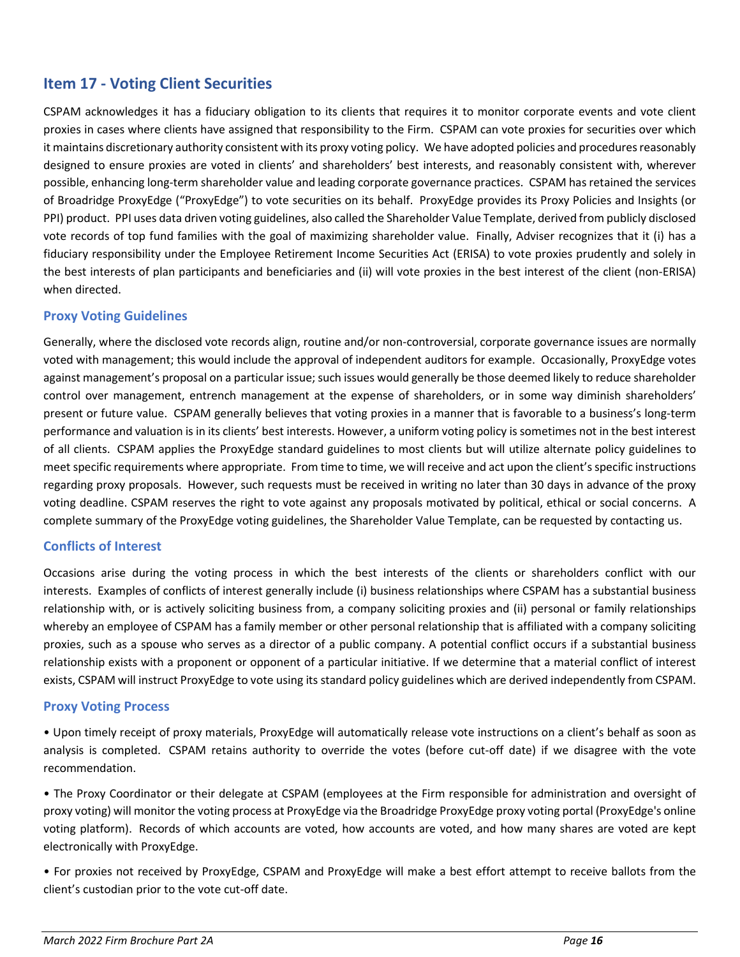# <span id="page-15-0"></span>**Item 17 - Voting Client Securities**

CSPAM acknowledges it has a fiduciary obligation to its clients that requires it to monitor corporate events and vote client proxies in cases where clients have assigned that responsibility to the Firm. CSPAM can vote proxies for securities over which it maintains discretionary authority consistent with its proxy voting policy. We have adopted policies and procedures reasonably designed to ensure proxies are voted in clients' and shareholders' best interests, and reasonably consistent with, wherever possible, enhancing long-term shareholder value and leading corporate governance practices. CSPAM has retained the services of Broadridge ProxyEdge ("ProxyEdge") to vote securities on its behalf. ProxyEdge provides its Proxy Policies and Insights (or PPI) product. PPI uses data driven voting guidelines, also called the Shareholder Value Template, derived from publicly disclosed vote records of top fund families with the goal of maximizing shareholder value. Finally, Adviser recognizes that it (i) has a fiduciary responsibility under the Employee Retirement Income Securities Act (ERISA) to vote proxies prudently and solely in the best interests of plan participants and beneficiaries and (ii) will vote proxies in the best interest of the client (non-ERISA) when directed.

### **Proxy Voting Guidelines**

Generally, where the disclosed vote records align, routine and/or non-controversial, corporate governance issues are normally voted with management; this would include the approval of independent auditors for example. Occasionally, ProxyEdge votes against management's proposal on a particular issue; such issues would generally be those deemed likely to reduce shareholder control over management, entrench management at the expense of shareholders, or in some way diminish shareholders' present or future value. CSPAM generally believes that voting proxies in a manner that is favorable to a business's long-term performance and valuation is in its clients' best interests. However, a uniform voting policy is sometimes not in the best interest of all clients. CSPAM applies the ProxyEdge standard guidelines to most clients but will utilize alternate policy guidelines to meet specific requirements where appropriate. From time to time, we will receive and act upon the client's specific instructions regarding proxy proposals. However, such requests must be received in writing no later than 30 days in advance of the proxy voting deadline. CSPAM reserves the right to vote against any proposals motivated by political, ethical or social concerns. A complete summary of the ProxyEdge voting guidelines, the Shareholder Value Template, can be requested by contacting us.

#### **Conflicts of Interest**

Occasions arise during the voting process in which the best interests of the clients or shareholders conflict with our interests. Examples of conflicts of interest generally include (i) business relationships where CSPAM has a substantial business relationship with, or is actively soliciting business from, a company soliciting proxies and (ii) personal or family relationships whereby an employee of CSPAM has a family member or other personal relationship that is affiliated with a company soliciting proxies, such as a spouse who serves as a director of a public company. A potential conflict occurs if a substantial business relationship exists with a proponent or opponent of a particular initiative. If we determine that a material conflict of interest exists, CSPAM will instruct ProxyEdge to vote using its standard policy guidelines which are derived independently from CSPAM.

#### **Proxy Voting Process**

• Upon timely receipt of proxy materials, ProxyEdge will automatically release vote instructions on a client's behalf as soon as analysis is completed. CSPAM retains authority to override the votes (before cut-off date) if we disagree with the vote recommendation.

• The Proxy Coordinator or their delegate at CSPAM (employees at the Firm responsible for administration and oversight of proxy voting) will monitor the voting process at ProxyEdge via the Broadridge ProxyEdge proxy voting portal (ProxyEdge's online voting platform). Records of which accounts are voted, how accounts are voted, and how many shares are voted are kept electronically with ProxyEdge.

• For proxies not received by ProxyEdge, CSPAM and ProxyEdge will make a best effort attempt to receive ballots from the client's custodian prior to the vote cut-off date.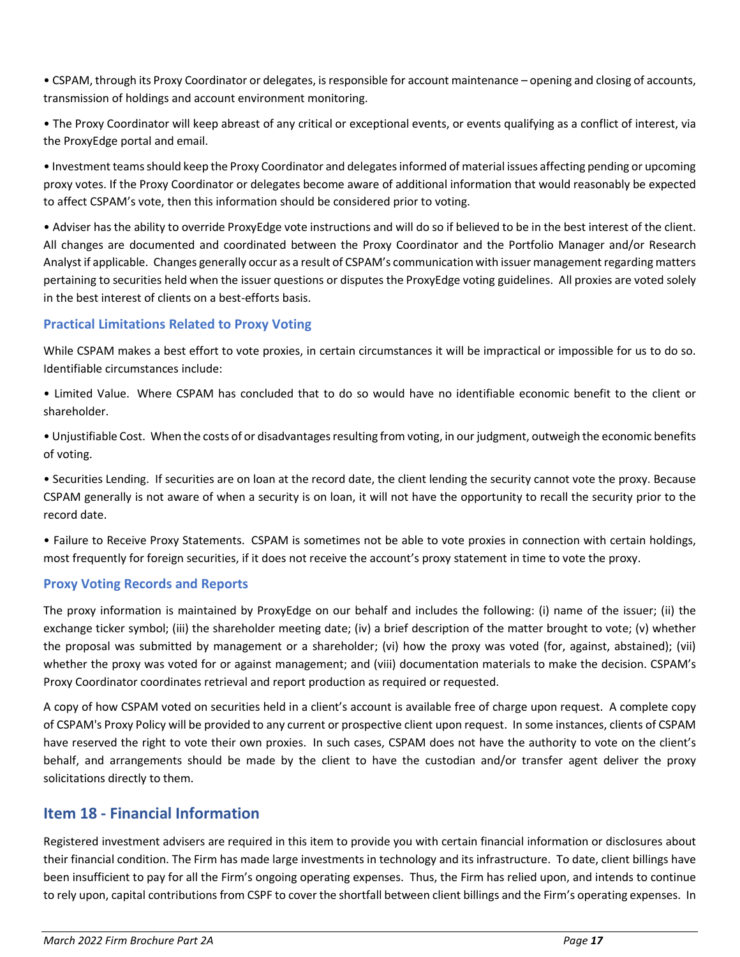• CSPAM, through its Proxy Coordinator or delegates, is responsible for account maintenance – opening and closing of accounts, transmission of holdings and account environment monitoring.

• The Proxy Coordinator will keep abreast of any critical or exceptional events, or events qualifying as a conflict of interest, via the ProxyEdge portal and email.

• Investment teams should keep the Proxy Coordinator and delegates informed of material issues affecting pending or upcoming proxy votes. If the Proxy Coordinator or delegates become aware of additional information that would reasonably be expected to affect CSPAM's vote, then this information should be considered prior to voting.

• Adviser has the ability to override ProxyEdge vote instructions and will do so if believed to be in the best interest of the client. All changes are documented and coordinated between the Proxy Coordinator and the Portfolio Manager and/or Research Analyst if applicable. Changes generally occur as a result of CSPAM's communication with issuer management regarding matters pertaining to securities held when the issuer questions or disputes the ProxyEdge voting guidelines. All proxies are voted solely in the best interest of clients on a best-efforts basis.

### **Practical Limitations Related to Proxy Voting**

While CSPAM makes a best effort to vote proxies, in certain circumstances it will be impractical or impossible for us to do so. Identifiable circumstances include:

• Limited Value. Where CSPAM has concluded that to do so would have no identifiable economic benefit to the client or shareholder.

• Unjustifiable Cost. When the costs of or disadvantages resulting from voting, in our judgment, outweigh the economic benefits of voting.

• Securities Lending. If securities are on loan at the record date, the client lending the security cannot vote the proxy. Because CSPAM generally is not aware of when a security is on loan, it will not have the opportunity to recall the security prior to the record date.

• Failure to Receive Proxy Statements. CSPAM is sometimes not be able to vote proxies in connection with certain holdings, most frequently for foreign securities, if it does not receive the account's proxy statement in time to vote the proxy.

### **Proxy Voting Records and Reports**

The proxy information is maintained by ProxyEdge on our behalf and includes the following: (i) name of the issuer; (ii) the exchange ticker symbol; (iii) the shareholder meeting date; (iv) a brief description of the matter brought to vote; (v) whether the proposal was submitted by management or a shareholder; (vi) how the proxy was voted (for, against, abstained); (vii) whether the proxy was voted for or against management; and (viii) documentation materials to make the decision. CSPAM's Proxy Coordinator coordinates retrieval and report production as required or requested.

A copy of how CSPAM voted on securities held in a client's account is available free of charge upon request. A complete copy of CSPAM's Proxy Policy will be provided to any current or prospective client upon request. In some instances, clients of CSPAM have reserved the right to vote their own proxies. In such cases, CSPAM does not have the authority to vote on the client's behalf, and arrangements should be made by the client to have the custodian and/or transfer agent deliver the proxy solicitations directly to them.

## <span id="page-16-0"></span>**Item 18 - Financial Information**

Registered investment advisers are required in this item to provide you with certain financial information or disclosures about their financial condition. The Firm has made large investments in technology and its infrastructure. To date, client billings have been insufficient to pay for all the Firm's ongoing operating expenses. Thus, the Firm has relied upon, and intends to continue to rely upon, capital contributions from CSPF to cover the shortfall between client billings and the Firm's operating expenses. In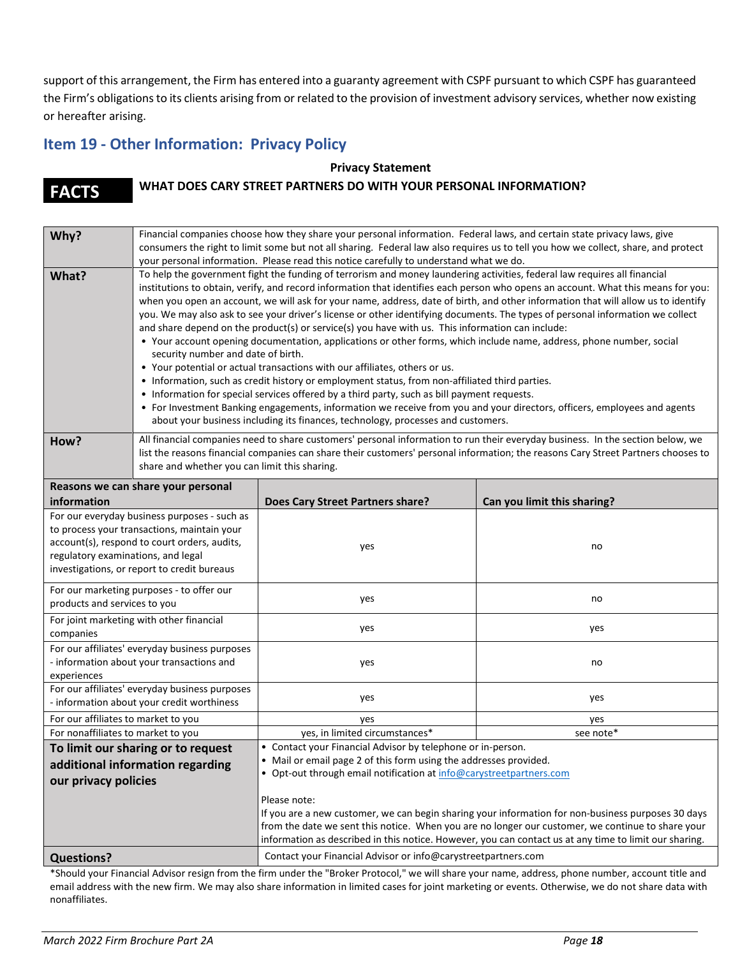support of this arrangement, the Firm has entered into a guaranty agreement with CSPF pursuant to which CSPF has guaranteed the Firm's obligations to its clients arising from or related to the provision of investment advisory services, whether now existing or hereafter arising.

# <span id="page-17-0"></span>**Item 19 - Other Information: Privacy Policy**

#### **Privacy Statement**

# **FACTS WHAT DOES CARY STREET PARTNERS DO WITH YOUR PERSONAL INFORMATION?**

| Why?                                                                                                                                                                                                                             | Financial companies choose how they share your personal information. Federal laws, and certain state privacy laws, give<br>consumers the right to limit some but not all sharing. Federal law also requires us to tell you how we collect, share, and protect<br>your personal information. Please read this notice carefully to understand what we do.                                                                                                                                                                                                                                                                                                                                                                                                                                                                                                                                                                                                                                                                                                                                                                                                                                                                                                                                                |                                                                                                                                                                                                                                                                                                                                   |                             |  |  |
|----------------------------------------------------------------------------------------------------------------------------------------------------------------------------------------------------------------------------------|--------------------------------------------------------------------------------------------------------------------------------------------------------------------------------------------------------------------------------------------------------------------------------------------------------------------------------------------------------------------------------------------------------------------------------------------------------------------------------------------------------------------------------------------------------------------------------------------------------------------------------------------------------------------------------------------------------------------------------------------------------------------------------------------------------------------------------------------------------------------------------------------------------------------------------------------------------------------------------------------------------------------------------------------------------------------------------------------------------------------------------------------------------------------------------------------------------------------------------------------------------------------------------------------------------|-----------------------------------------------------------------------------------------------------------------------------------------------------------------------------------------------------------------------------------------------------------------------------------------------------------------------------------|-----------------------------|--|--|
| What?                                                                                                                                                                                                                            | To help the government fight the funding of terrorism and money laundering activities, federal law requires all financial<br>institutions to obtain, verify, and record information that identifies each person who opens an account. What this means for you:<br>when you open an account, we will ask for your name, address, date of birth, and other information that will allow us to identify<br>you. We may also ask to see your driver's license or other identifying documents. The types of personal information we collect<br>and share depend on the product(s) or service(s) you have with us. This information can include:<br>• Your account opening documentation, applications or other forms, which include name, address, phone number, social<br>security number and date of birth.<br>• Your potential or actual transactions with our affiliates, others or us.<br>• Information, such as credit history or employment status, from non-affiliated third parties.<br>• Information for special services offered by a third party, such as bill payment requests.<br>• For Investment Banking engagements, information we receive from you and your directors, officers, employees and agents<br>about your business including its finances, technology, processes and customers. |                                                                                                                                                                                                                                                                                                                                   |                             |  |  |
| How?                                                                                                                                                                                                                             | All financial companies need to share customers' personal information to run their everyday business. In the section below, we<br>list the reasons financial companies can share their customers' personal information; the reasons Cary Street Partners chooses to<br>share and whether you can limit this sharing.                                                                                                                                                                                                                                                                                                                                                                                                                                                                                                                                                                                                                                                                                                                                                                                                                                                                                                                                                                                   |                                                                                                                                                                                                                                                                                                                                   |                             |  |  |
| information                                                                                                                                                                                                                      | Reasons we can share your personal                                                                                                                                                                                                                                                                                                                                                                                                                                                                                                                                                                                                                                                                                                                                                                                                                                                                                                                                                                                                                                                                                                                                                                                                                                                                     | <b>Does Cary Street Partners share?</b>                                                                                                                                                                                                                                                                                           | Can you limit this sharing? |  |  |
| For our everyday business purposes - such as<br>to process your transactions, maintain your<br>account(s), respond to court orders, audits,<br>regulatory examinations, and legal<br>investigations, or report to credit bureaus |                                                                                                                                                                                                                                                                                                                                                                                                                                                                                                                                                                                                                                                                                                                                                                                                                                                                                                                                                                                                                                                                                                                                                                                                                                                                                                        | yes                                                                                                                                                                                                                                                                                                                               | no                          |  |  |
| For our marketing purposes - to offer our<br>products and services to you                                                                                                                                                        |                                                                                                                                                                                                                                                                                                                                                                                                                                                                                                                                                                                                                                                                                                                                                                                                                                                                                                                                                                                                                                                                                                                                                                                                                                                                                                        | yes                                                                                                                                                                                                                                                                                                                               | no                          |  |  |
| For joint marketing with other financial<br>companies                                                                                                                                                                            |                                                                                                                                                                                                                                                                                                                                                                                                                                                                                                                                                                                                                                                                                                                                                                                                                                                                                                                                                                                                                                                                                                                                                                                                                                                                                                        | yes                                                                                                                                                                                                                                                                                                                               | yes                         |  |  |
| For our affiliates' everyday business purposes<br>- information about your transactions and<br>experiences                                                                                                                       |                                                                                                                                                                                                                                                                                                                                                                                                                                                                                                                                                                                                                                                                                                                                                                                                                                                                                                                                                                                                                                                                                                                                                                                                                                                                                                        | yes                                                                                                                                                                                                                                                                                                                               | no                          |  |  |
| For our affiliates' everyday business purposes<br>- information about your credit worthiness                                                                                                                                     |                                                                                                                                                                                                                                                                                                                                                                                                                                                                                                                                                                                                                                                                                                                                                                                                                                                                                                                                                                                                                                                                                                                                                                                                                                                                                                        | yes                                                                                                                                                                                                                                                                                                                               | yes                         |  |  |
| For our affiliates to market to you                                                                                                                                                                                              |                                                                                                                                                                                                                                                                                                                                                                                                                                                                                                                                                                                                                                                                                                                                                                                                                                                                                                                                                                                                                                                                                                                                                                                                                                                                                                        | yes                                                                                                                                                                                                                                                                                                                               | yes                         |  |  |
| For nonaffiliates to market to you                                                                                                                                                                                               |                                                                                                                                                                                                                                                                                                                                                                                                                                                                                                                                                                                                                                                                                                                                                                                                                                                                                                                                                                                                                                                                                                                                                                                                                                                                                                        | yes, in limited circumstances*                                                                                                                                                                                                                                                                                                    | see note*                   |  |  |
| To limit our sharing or to request<br>additional information regarding<br>our privacy policies                                                                                                                                   |                                                                                                                                                                                                                                                                                                                                                                                                                                                                                                                                                                                                                                                                                                                                                                                                                                                                                                                                                                                                                                                                                                                                                                                                                                                                                                        | • Contact your Financial Advisor by telephone or in-person.<br>• Mail or email page 2 of this form using the addresses provided.<br>• Opt-out through email notification at info@carystreetpartners.com                                                                                                                           |                             |  |  |
|                                                                                                                                                                                                                                  |                                                                                                                                                                                                                                                                                                                                                                                                                                                                                                                                                                                                                                                                                                                                                                                                                                                                                                                                                                                                                                                                                                                                                                                                                                                                                                        | Please note:<br>If you are a new customer, we can begin sharing your information for non-business purposes 30 days<br>from the date we sent this notice. When you are no longer our customer, we continue to share your<br>information as described in this notice. However, you can contact us at any time to limit our sharing. |                             |  |  |
| <b>Questions?</b>                                                                                                                                                                                                                |                                                                                                                                                                                                                                                                                                                                                                                                                                                                                                                                                                                                                                                                                                                                                                                                                                                                                                                                                                                                                                                                                                                                                                                                                                                                                                        | Contact your Financial Advisor or info@carystreetpartners.com                                                                                                                                                                                                                                                                     |                             |  |  |

\*Should your Financial Advisor resign from the firm under the "Broker Protocol," we will share your name, address, phone number, account title and email address with the new firm. We may also share information in limited cases for joint marketing or events. Otherwise, we do not share data with nonaffiliates.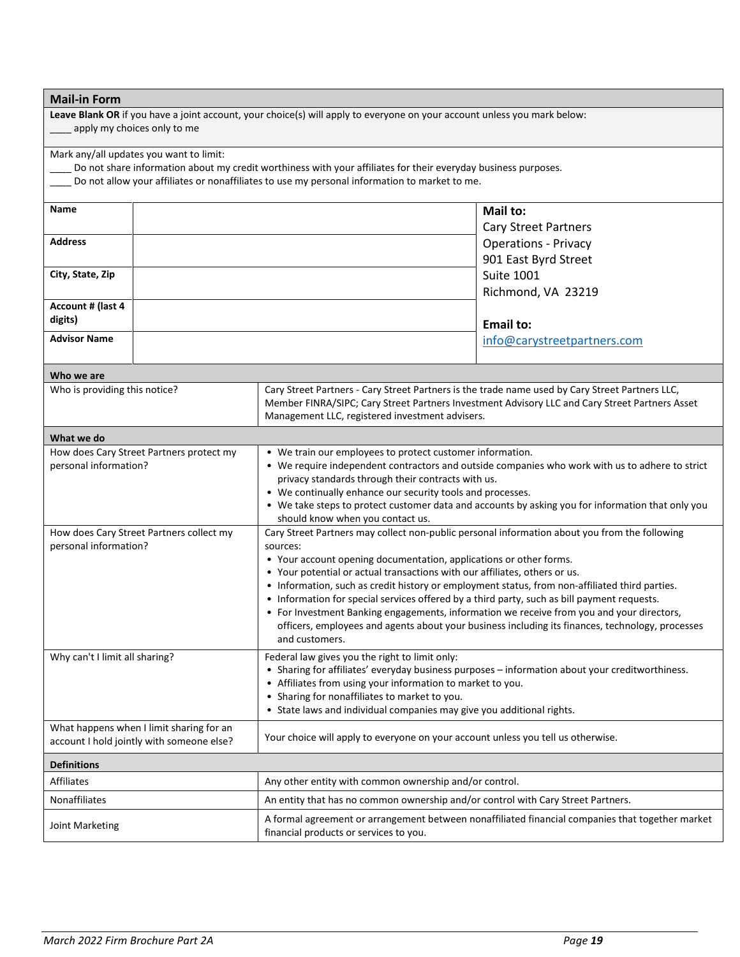| <b>Mail-in Form</b>                                                                   |                                          |                                                                                                                                                                                               |                             |  |
|---------------------------------------------------------------------------------------|------------------------------------------|-----------------------------------------------------------------------------------------------------------------------------------------------------------------------------------------------|-----------------------------|--|
|                                                                                       |                                          | Leave Blank OR if you have a joint account, your choice(s) will apply to everyone on your account unless you mark below:                                                                      |                             |  |
| apply my choices only to me                                                           |                                          |                                                                                                                                                                                               |                             |  |
|                                                                                       | Mark any/all updates you want to limit:  |                                                                                                                                                                                               |                             |  |
|                                                                                       |                                          | Do not share information about my credit worthiness with your affiliates for their everyday business purposes.                                                                                |                             |  |
|                                                                                       |                                          | Do not allow your affiliates or nonaffiliates to use my personal information to market to me.                                                                                                 |                             |  |
| <b>Name</b>                                                                           |                                          |                                                                                                                                                                                               | Mail to:                    |  |
|                                                                                       |                                          |                                                                                                                                                                                               | <b>Cary Street Partners</b> |  |
| <b>Address</b>                                                                        |                                          |                                                                                                                                                                                               | <b>Operations - Privacy</b> |  |
|                                                                                       |                                          |                                                                                                                                                                                               | 901 East Byrd Street        |  |
| City, State, Zip                                                                      |                                          |                                                                                                                                                                                               | <b>Suite 1001</b>           |  |
|                                                                                       |                                          |                                                                                                                                                                                               | Richmond, VA 23219          |  |
| Account # (last 4<br>digits)                                                          |                                          |                                                                                                                                                                                               |                             |  |
| <b>Advisor Name</b>                                                                   |                                          |                                                                                                                                                                                               | <b>Email to:</b>            |  |
|                                                                                       |                                          |                                                                                                                                                                                               | info@carystreetpartners.com |  |
| Who we are                                                                            |                                          |                                                                                                                                                                                               |                             |  |
| Who is providing this notice?                                                         |                                          | Cary Street Partners - Cary Street Partners is the trade name used by Cary Street Partners LLC,                                                                                               |                             |  |
|                                                                                       |                                          | Member FINRA/SIPC; Cary Street Partners Investment Advisory LLC and Cary Street Partners Asset<br>Management LLC, registered investment advisers.                                             |                             |  |
| What we do                                                                            |                                          |                                                                                                                                                                                               |                             |  |
|                                                                                       | How does Cary Street Partners protect my | • We train our employees to protect customer information.                                                                                                                                     |                             |  |
| personal information?                                                                 |                                          | • We require independent contractors and outside companies who work with us to adhere to strict                                                                                               |                             |  |
|                                                                                       |                                          | privacy standards through their contracts with us.                                                                                                                                            |                             |  |
|                                                                                       |                                          | • We continually enhance our security tools and processes.                                                                                                                                    |                             |  |
|                                                                                       |                                          | • We take steps to protect customer data and accounts by asking you for information that only you<br>should know when you contact us.                                                         |                             |  |
| How does Cary Street Partners collect my                                              |                                          | Cary Street Partners may collect non-public personal information about you from the following                                                                                                 |                             |  |
| personal information?                                                                 |                                          | sources:                                                                                                                                                                                      |                             |  |
|                                                                                       |                                          | • Your account opening documentation, applications or other forms.<br>• Your potential or actual transactions with our affiliates, others or us.                                              |                             |  |
|                                                                                       |                                          | • Information, such as credit history or employment status, from non-affiliated third parties.                                                                                                |                             |  |
|                                                                                       |                                          | • Information for special services offered by a third party, such as bill payment requests.                                                                                                   |                             |  |
|                                                                                       |                                          | • For Investment Banking engagements, information we receive from you and your directors,<br>officers, employees and agents about your business including its finances, technology, processes |                             |  |
|                                                                                       | and customers.                           |                                                                                                                                                                                               |                             |  |
| Why can't I limit all sharing?                                                        |                                          | Federal law gives you the right to limit only:                                                                                                                                                |                             |  |
|                                                                                       |                                          | • Sharing for affiliates' everyday business purposes - information about your creditworthiness.<br>• Affiliates from using your information to market to you.                                 |                             |  |
|                                                                                       |                                          | • Sharing for nonaffiliates to market to you.                                                                                                                                                 |                             |  |
|                                                                                       |                                          | • State laws and individual companies may give you additional rights.                                                                                                                         |                             |  |
| What happens when I limit sharing for an<br>account I hold jointly with someone else? |                                          | Your choice will apply to everyone on your account unless you tell us otherwise.                                                                                                              |                             |  |
| <b>Definitions</b>                                                                    |                                          |                                                                                                                                                                                               |                             |  |
| Affiliates                                                                            |                                          | Any other entity with common ownership and/or control.                                                                                                                                        |                             |  |
| Nonaffiliates                                                                         |                                          | An entity that has no common ownership and/or control with Cary Street Partners.                                                                                                              |                             |  |
| Joint Marketing                                                                       |                                          | A formal agreement or arrangement between nonaffiliated financial companies that together market<br>financial products or services to you.                                                    |                             |  |